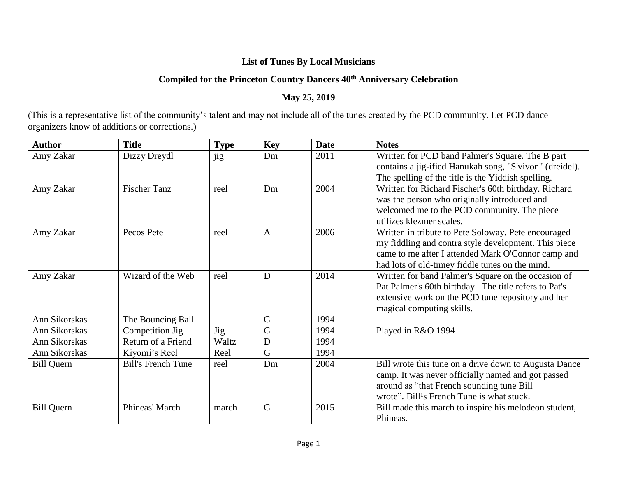## **List of Tunes By Local Musicians**

## **Compiled for the Princeton Country Dancers 40th Anniversary Celebration**

## **May 25, 2019**

(This is a representative list of the community's talent and may not include all of the tunes created by the PCD community. Let PCD dance organizers know of additions or corrections.)

| <b>Author</b>     | <b>Title</b>              | <b>Type</b> | <b>Key</b>   | <b>Date</b> | <b>Notes</b>                                            |
|-------------------|---------------------------|-------------|--------------|-------------|---------------------------------------------------------|
| Amy Zakar         | Dizzy Dreydl              | jig         | Dm           | 2011        | Written for PCD band Palmer's Square. The B part        |
|                   |                           |             |              |             | contains a jig-ified Hanukah song, "S'vivon" (dreidel). |
|                   |                           |             |              |             | The spelling of the title is the Yiddish spelling.      |
| Amy Zakar         | <b>Fischer Tanz</b>       | reel        | Dm           | 2004        | Written for Richard Fischer's 60th birthday. Richard    |
|                   |                           |             |              |             | was the person who originally introduced and            |
|                   |                           |             |              |             | welcomed me to the PCD community. The piece             |
|                   |                           |             |              |             | utilizes klezmer scales.                                |
| Amy Zakar         | Pecos Pete                | reel        | $\mathbf{A}$ | 2006        | Written in tribute to Pete Soloway. Pete encouraged     |
|                   |                           |             |              |             | my fiddling and contra style development. This piece    |
|                   |                           |             |              |             | came to me after I attended Mark O'Connor camp and      |
|                   |                           |             |              |             | had lots of old-timey fiddle tunes on the mind.         |
| Amy Zakar         | Wizard of the Web         | reel        | D            | 2014        | Written for band Palmer's Square on the occasion of     |
|                   |                           |             |              |             | Pat Palmer's 60th birthday. The title refers to Pat's   |
|                   |                           |             |              |             | extensive work on the PCD tune repository and her       |
|                   |                           |             |              |             | magical computing skills.                               |
| Ann Sikorskas     | The Bouncing Ball         |             | G            | 1994        |                                                         |
| Ann Sikorskas     | Competition Jig           | <b>Jig</b>  | G            | 1994        | Played in R&O 1994                                      |
| Ann Sikorskas     | Return of a Friend        | Waltz       | D            | 1994        |                                                         |
| Ann Sikorskas     | Kiyomi's Reel             | Reel        | G            | 1994        |                                                         |
| <b>Bill Quern</b> | <b>Bill's French Tune</b> | reel        | Dm           | 2004        | Bill wrote this tune on a drive down to Augusta Dance   |
|                   |                           |             |              |             | camp. It was never officially named and got passed      |
|                   |                           |             |              |             | around as "that French sounding tune Bill               |
|                   |                           |             |              |             | wrote". Bill <sup>1</sup> s French Tune is what stuck.  |
| <b>Bill Quern</b> | Phineas' March            | march       | G            | 2015        | Bill made this march to inspire his melodeon student,   |
|                   |                           |             |              |             | Phineas.                                                |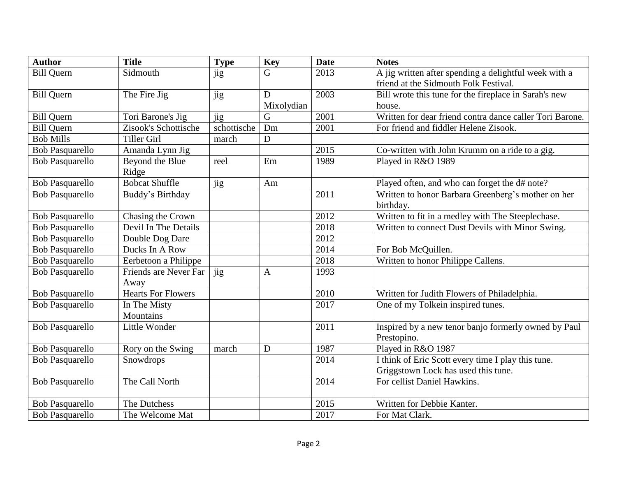| <b>Author</b>          | <b>Title</b>              | <b>Type</b> | <b>Key</b>   | <b>Date</b> | <b>Notes</b>                                             |
|------------------------|---------------------------|-------------|--------------|-------------|----------------------------------------------------------|
| <b>Bill Quern</b>      | Sidmouth                  | jig         | G            | 2013        | A jig written after spending a delightful week with a    |
|                        |                           |             |              |             | friend at the Sidmouth Folk Festival.                    |
| <b>Bill Quern</b>      | The Fire Jig              | jig         | D            | 2003        | Bill wrote this tune for the fireplace in Sarah's new    |
|                        |                           |             | Mixolydian   |             | house.                                                   |
| <b>Bill Quern</b>      | Tori Barone's Jig         | jig         | G            | 2001        | Written for dear friend contra dance caller Tori Barone. |
| <b>Bill Quern</b>      | Zisook's Schottische      | schottische | Dm           | 2001        | For friend and fiddler Helene Zisook.                    |
| <b>Bob Mills</b>       | <b>Tiller Girl</b>        | march       | $\mathbf D$  |             |                                                          |
| <b>Bob Pasquarello</b> | Amanda Lynn Jig           |             |              | 2015        | Co-written with John Krumm on a ride to a gig.           |
| <b>Bob Pasquarello</b> | Beyond the Blue<br>Ridge  | reel        | Em           | 1989        | Played in R&O 1989                                       |
| <b>Bob Pasquarello</b> | <b>Bobcat Shuffle</b>     | jig         | Am           |             | Played often, and who can forget the d# note?            |
| <b>Bob Pasquarello</b> | Buddy's Birthday          |             |              | 2011        | Written to honor Barbara Greenberg's mother on her       |
|                        |                           |             |              |             | birthday.                                                |
| <b>Bob Pasquarello</b> | Chasing the Crown         |             |              | 2012        | Written to fit in a medley with The Steeplechase.        |
| <b>Bob Pasquarello</b> | Devil In The Details      |             |              | 2018        | Written to connect Dust Devils with Minor Swing.         |
| <b>Bob Pasquarello</b> | Double Dog Dare           |             |              | 2012        |                                                          |
| <b>Bob Pasquarello</b> | Ducks In A Row            |             |              | 2014        | For Bob McQuillen.                                       |
| Bob Pasquarello        | Eerbetoon a Philippe      |             |              | 2018        | Written to honor Philippe Callens.                       |
| <b>Bob Pasquarello</b> | Friends are Never Far     | jig         | $\mathbf{A}$ | 1993        |                                                          |
|                        | Away                      |             |              |             |                                                          |
| <b>Bob Pasquarello</b> | <b>Hearts For Flowers</b> |             |              | 2010        | Written for Judith Flowers of Philadelphia.              |
| <b>Bob Pasquarello</b> | In The Misty              |             |              | 2017        | One of my Tolkein inspired tunes.                        |
|                        | Mountains                 |             |              |             |                                                          |
| <b>Bob Pasquarello</b> | Little Wonder             |             |              | 2011        | Inspired by a new tenor banjo formerly owned by Paul     |
|                        |                           |             |              |             | Prestopino.                                              |
| <b>Bob Pasquarello</b> | Rory on the Swing         | march       | D            | 1987        | Played in R&O 1987                                       |
| <b>Bob Pasquarello</b> | Snowdrops                 |             |              | 2014        | I think of Eric Scott every time I play this tune.       |
|                        |                           |             |              |             | Griggstown Lock has used this tune.                      |
| <b>Bob Pasquarello</b> | The Call North            |             |              | 2014        | For cellist Daniel Hawkins.                              |
| <b>Bob Pasquarello</b> | The Dutchess              |             |              | 2015        | Written for Debbie Kanter.                               |
| <b>Bob Pasquarello</b> | The Welcome Mat           |             |              | 2017        | For Mat Clark.                                           |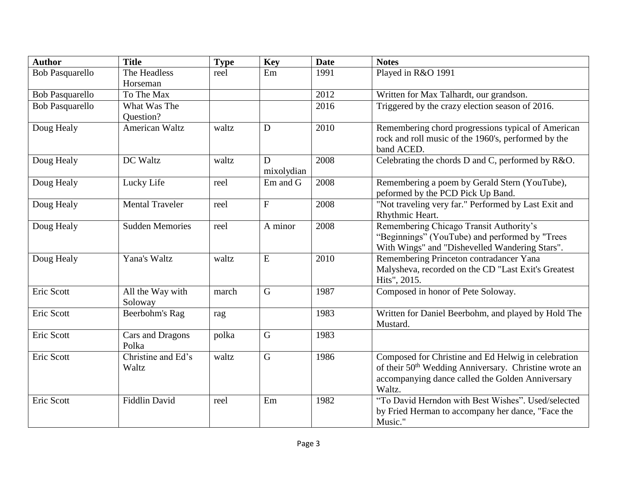| <b>Author</b>          | <b>Title</b>                | <b>Type</b> | Key                       | <b>Date</b> | <b>Notes</b>                                                                                                                                                                           |
|------------------------|-----------------------------|-------------|---------------------------|-------------|----------------------------------------------------------------------------------------------------------------------------------------------------------------------------------------|
| <b>Bob Pasquarello</b> | The Headless<br>Horseman    | reel        | Em                        | 1991        | Played in R&O 1991                                                                                                                                                                     |
| <b>Bob Pasquarello</b> | To The Max                  |             |                           | 2012        | Written for Max Talhardt, our grandson.                                                                                                                                                |
| <b>Bob Pasquarello</b> | What Was The                |             |                           | 2016        | Triggered by the crazy election season of 2016.                                                                                                                                        |
|                        | Question?                   |             |                           |             |                                                                                                                                                                                        |
| Doug Healy             | <b>American Waltz</b>       | waltz       | D                         | 2010        | Remembering chord progressions typical of American<br>rock and roll music of the 1960's, performed by the<br>band ACED.                                                                |
| Doug Healy             | DC Waltz                    | waltz       | D<br>mixolydian           | 2008        | Celebrating the chords D and C, performed by R&O.                                                                                                                                      |
| Doug Healy             | Lucky Life                  | reel        | Em and G                  | 2008        | Remembering a poem by Gerald Stern (YouTube),<br>peformed by the PCD Pick Up Band.                                                                                                     |
| Doug Healy             | <b>Mental Traveler</b>      | reel        | $\boldsymbol{\mathrm{F}}$ | 2008        | "Not traveling very far." Performed by Last Exit and<br>Rhythmic Heart.                                                                                                                |
| Doug Healy             | <b>Sudden Memories</b>      | reel        | A minor                   | 2008        | Remembering Chicago Transit Authority's<br>"Beginnings" (YouTube) and performed by "Trees<br>With Wings" and "Dishevelled Wandering Stars".                                            |
| Doug Healy             | Yana's Waltz                | waltz       | ${\bf E}$                 | 2010        | Remembering Princeton contradancer Yana<br>Malysheva, recorded on the CD "Last Exit's Greatest<br>Hits", 2015.                                                                         |
| Eric Scott             | All the Way with<br>Soloway | march       | $\mathbf G$               | 1987        | Composed in honor of Pete Soloway.                                                                                                                                                     |
| Eric Scott             | Beerbohm's Rag              | rag         |                           | 1983        | Written for Daniel Beerbohm, and played by Hold The<br>Mustard.                                                                                                                        |
| Eric Scott             | Cars and Dragons<br>Polka   | polka       | $\mathsf G$               | 1983        |                                                                                                                                                                                        |
| Eric Scott             | Christine and Ed's<br>Waltz | waltz       | $\mathbf G$               | 1986        | Composed for Christine and Ed Helwig in celebration<br>of their 50 <sup>th</sup> Wedding Anniversary. Christine wrote an<br>accompanying dance called the Golden Anniversary<br>Waltz. |
| Eric Scott             | <b>Fiddlin David</b>        | reel        | Em                        | 1982        | "To David Herndon with Best Wishes". Used/selected<br>by Fried Herman to accompany her dance, "Face the<br>Music."                                                                     |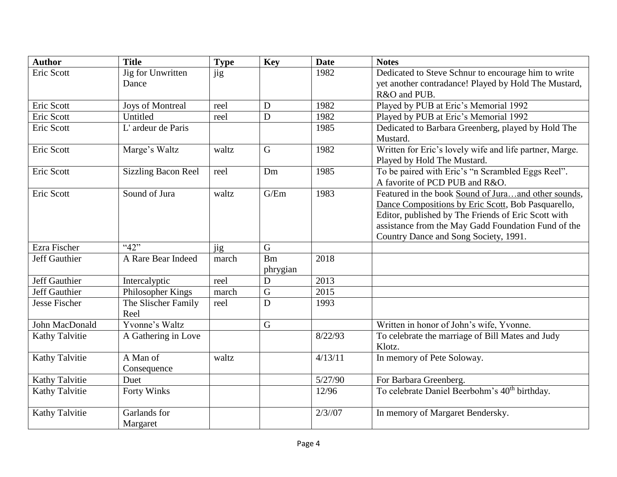| <b>Author</b>        | <b>Title</b>               | <b>Type</b> | Key         | <b>Date</b> | <b>Notes</b>                                              |
|----------------------|----------------------------|-------------|-------------|-------------|-----------------------------------------------------------|
| Eric Scott           | Jig for Unwritten          | jig         |             | 1982        | Dedicated to Steve Schnur to encourage him to write       |
|                      | Dance                      |             |             |             | yet another contradance! Played by Hold The Mustard,      |
|                      |                            |             |             |             | R&O and PUB.                                              |
| Eric Scott           | Joys of Montreal           | reel        | D           | 1982        | Played by PUB at Eric's Memorial 1992                     |
| Eric Scott           | Untitled                   | reel        | D           | 1982        | Played by PUB at Eric's Memorial 1992                     |
| Eric Scott           | L'ardeur de Paris          |             |             | 1985        | Dedicated to Barbara Greenberg, played by Hold The        |
|                      |                            |             |             |             | Mustard.                                                  |
| Eric Scott           | Marge's Waltz              | waltz       | $\mathbf G$ | 1982        | Written for Eric's lovely wife and life partner, Marge.   |
|                      |                            |             |             |             | Played by Hold The Mustard.                               |
| Eric Scott           | <b>Sizzling Bacon Reel</b> | reel        | Dm          | 1985        | To be paired with Eric's "n Scrambled Eggs Reel".         |
|                      |                            |             |             |             | A favorite of PCD PUB and R&O.                            |
| Eric Scott           | Sound of Jura              | waltz       | G/Em        | 1983        | Featured in the book Sound of Juraand other sounds,       |
|                      |                            |             |             |             | Dance Compositions by Eric Scott, Bob Pasquarello,        |
|                      |                            |             |             |             | Editor, published by The Friends of Eric Scott with       |
|                      |                            |             |             |             | assistance from the May Gadd Foundation Fund of the       |
|                      |                            |             |             |             | Country Dance and Song Society, 1991.                     |
| Ezra Fischer         | "42"                       | jig         | G           |             |                                                           |
| Jeff Gauthier        | A Rare Bear Indeed         | march       | Bm          | 2018        |                                                           |
|                      |                            |             | phrygian    |             |                                                           |
| Jeff Gauthier        | Intercalyptic              | reel        | $\mathbf D$ | 2013        |                                                           |
| <b>Jeff Gauthier</b> | Philosopher Kings          | march       | $\mathbf G$ | 2015        |                                                           |
| Jesse Fischer        | The Slischer Family        | reel        | D           | 1993        |                                                           |
|                      | Reel                       |             |             |             |                                                           |
| John MacDonald       | Yvonne's Waltz             |             | $\mathbf G$ |             | Written in honor of John's wife, Yvonne.                  |
| Kathy Talvitie       | A Gathering in Love        |             |             | 8/22/93     | To celebrate the marriage of Bill Mates and Judy          |
|                      |                            |             |             |             | Klotz.                                                    |
| Kathy Talvitie       | A Man of                   | waltz       |             | 4/13/11     | In memory of Pete Soloway.                                |
|                      | Consequence                |             |             |             |                                                           |
| Kathy Talvitie       | Duet                       |             |             | 5/27/90     | For Barbara Greenberg.                                    |
| Kathy Talvitie       | Forty Winks                |             |             | 12/96       | To celebrate Daniel Beerbohm's 40 <sup>th</sup> birthday. |
| Kathy Talvitie       | Garlands for               |             |             | $2/3$ //07  | In memory of Margaret Bendersky.                          |
|                      | Margaret                   |             |             |             |                                                           |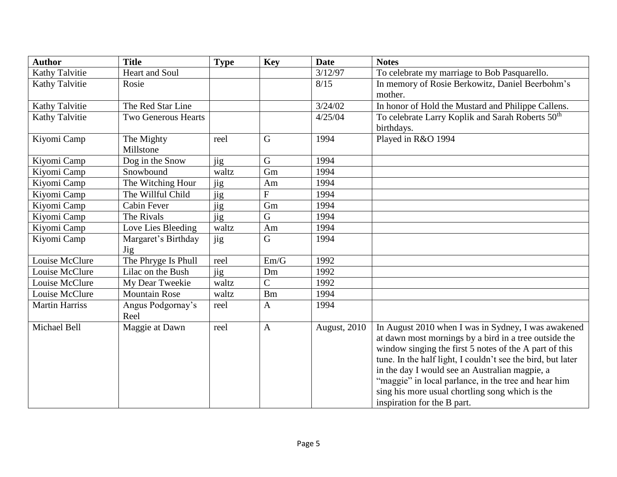| <b>Author</b>         | <b>Title</b>               | <b>Type</b> | <b>Key</b>     | <b>Date</b>  | <b>Notes</b>                                                                                                                                                                                                                                                                                                                                                                                                                      |
|-----------------------|----------------------------|-------------|----------------|--------------|-----------------------------------------------------------------------------------------------------------------------------------------------------------------------------------------------------------------------------------------------------------------------------------------------------------------------------------------------------------------------------------------------------------------------------------|
| Kathy Talvitie        | Heart and Soul             |             |                | 3/12/97      | To celebrate my marriage to Bob Pasquarello.                                                                                                                                                                                                                                                                                                                                                                                      |
| Kathy Talvitie        | Rosie                      |             |                | 8/15         | In memory of Rosie Berkowitz, Daniel Beerbohm's<br>mother.                                                                                                                                                                                                                                                                                                                                                                        |
| Kathy Talvitie        | The Red Star Line          |             |                | 3/24/02      | In honor of Hold the Mustard and Philippe Callens.                                                                                                                                                                                                                                                                                                                                                                                |
| Kathy Talvitie        | <b>Two Generous Hearts</b> |             |                | 4/25/04      | To celebrate Larry Koplik and Sarah Roberts 50 <sup>th</sup><br>birthdays.                                                                                                                                                                                                                                                                                                                                                        |
| Kiyomi Camp           | The Mighty<br>Millstone    | reel        | G              | 1994         | Played in R&O 1994                                                                                                                                                                                                                                                                                                                                                                                                                |
| Kiyomi Camp           | Dog in the Snow            | jig         | $\mathbf G$    | 1994         |                                                                                                                                                                                                                                                                                                                                                                                                                                   |
| Kiyomi Camp           | Snowbound                  | waltz       | Gm             | 1994         |                                                                                                                                                                                                                                                                                                                                                                                                                                   |
| Kiyomi Camp           | The Witching Hour          | jig         | Am             | 1994         |                                                                                                                                                                                                                                                                                                                                                                                                                                   |
| Kiyomi Camp           | The Willful Child          | jig         | $\overline{F}$ | 1994         |                                                                                                                                                                                                                                                                                                                                                                                                                                   |
| Kiyomi Camp           | Cabin Fever                | jig         | Gm             | 1994         |                                                                                                                                                                                                                                                                                                                                                                                                                                   |
| Kiyomi Camp           | The Rivals                 | jig         | $\mathbf G$    | 1994         |                                                                                                                                                                                                                                                                                                                                                                                                                                   |
| Kiyomi Camp           | Love Lies Bleeding         | waltz       | Am             | 1994         |                                                                                                                                                                                                                                                                                                                                                                                                                                   |
| Kiyomi Camp           | Margaret's Birthday<br>Jig | jig         | $\mathbf G$    | 1994         |                                                                                                                                                                                                                                                                                                                                                                                                                                   |
| Louise McClure        | The Phryge Is Phull        | reel        | Em/G           | 1992         |                                                                                                                                                                                                                                                                                                                                                                                                                                   |
| Louise McClure        | Lilac on the Bush          | jig         | Dm             | 1992         |                                                                                                                                                                                                                                                                                                                                                                                                                                   |
| Louise McClure        | My Dear Tweekie            | waltz       | $\overline{C}$ | 1992         |                                                                                                                                                                                                                                                                                                                                                                                                                                   |
| Louise McClure        | <b>Mountain Rose</b>       | waltz       | <b>Bm</b>      | 1994         |                                                                                                                                                                                                                                                                                                                                                                                                                                   |
| <b>Martin Harriss</b> | Angus Podgornay's<br>Reel  | reel        | $\mathbf{A}$   | 1994         |                                                                                                                                                                                                                                                                                                                                                                                                                                   |
| Michael Bell          | Maggie at Dawn             | reel        | $\mathbf{A}$   | August, 2010 | In August 2010 when I was in Sydney, I was awakened<br>at dawn most mornings by a bird in a tree outside the<br>window singing the first 5 notes of the A part of this<br>tune. In the half light, I couldn't see the bird, but later<br>in the day I would see an Australian magpie, a<br>"maggie" in local parlance, in the tree and hear him<br>sing his more usual chortling song which is the<br>inspiration for the B part. |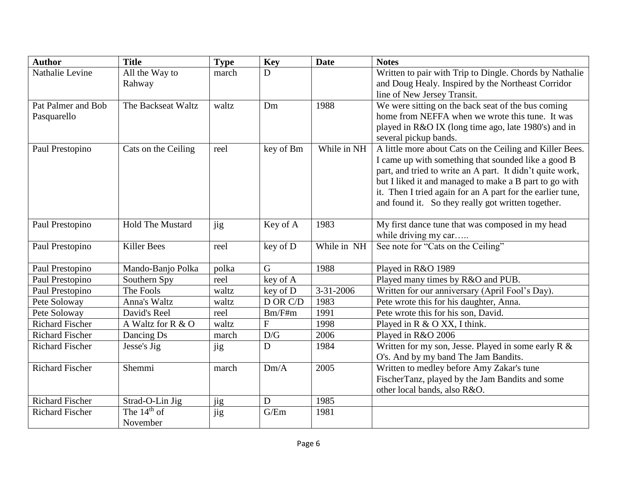| <b>Author</b>          | <b>Title</b>            | <b>Type</b> | <b>Key</b>     | <b>Date</b>     | <b>Notes</b>                                                                                                     |
|------------------------|-------------------------|-------------|----------------|-----------------|------------------------------------------------------------------------------------------------------------------|
| Nathalie Levine        | All the Way to          | march       | D              |                 | Written to pair with Trip to Dingle. Chords by Nathalie                                                          |
|                        | Rahway                  |             |                |                 | and Doug Healy. Inspired by the Northeast Corridor                                                               |
|                        |                         |             |                |                 | line of New Jersey Transit.                                                                                      |
| Pat Palmer and Bob     | The Backseat Waltz      | waltz       | Dm             | 1988            | We were sitting on the back seat of the bus coming                                                               |
| Pasquarello            |                         |             |                |                 | home from NEFFA when we wrote this tune. It was                                                                  |
|                        |                         |             |                |                 | played in R&O IX (long time ago, late 1980's) and in                                                             |
|                        |                         |             |                |                 | several pickup bands.                                                                                            |
| Paul Prestopino        | Cats on the Ceiling     | reel        | key of Bm      | While in NH     | A little more about Cats on the Ceiling and Killer Bees.                                                         |
|                        |                         |             |                |                 | I came up with something that sounded like a good B                                                              |
|                        |                         |             |                |                 | part, and tried to write an A part. It didn't quite work,                                                        |
|                        |                         |             |                |                 | but I liked it and managed to make a B part to go with                                                           |
|                        |                         |             |                |                 | it. Then I tried again for an A part for the earlier tune,<br>and found it. So they really got written together. |
|                        |                         |             |                |                 |                                                                                                                  |
| Paul Prestopino        | <b>Hold The Mustard</b> | jig         | Key of A       | 1983            | My first dance tune that was composed in my head                                                                 |
|                        |                         |             |                |                 | while driving my car                                                                                             |
| Paul Prestopino        | <b>Killer Bees</b>      | reel        | key of D       | While in NH     | See note for "Cats on the Ceiling"                                                                               |
| Paul Prestopino        | Mando-Banjo Polka       | polka       | $\mathbf G$    | 1988            | Played in R&O 1989                                                                                               |
| Paul Prestopino        | Southern Spy            | reel        | key of A       |                 | Played many times by R&O and PUB.                                                                                |
| Paul Prestopino        | The Fools               | waltz       | key of D       | $3 - 31 - 2006$ | Written for our anniversary (April Fool's Day).                                                                  |
| Pete Soloway           | Anna's Waltz            | waltz       | D OR C/D       | 1983            | Pete wrote this for his daughter, Anna.                                                                          |
| Pete Soloway           | David's Reel            | reel        | $Bm/F\#m$      | 1991            | Pete wrote this for his son, David.                                                                              |
| <b>Richard Fischer</b> | A Waltz for R & O       | waltz       | $\overline{F}$ | 1998            | Played in R & O XX, I think.                                                                                     |
| <b>Richard Fischer</b> | Dancing Ds              | march       | D/G            | 2006            | Played in R&O 2006                                                                                               |
| <b>Richard Fischer</b> | Jesse's Jig             | jig         | D              | 1984            | Written for my son, Jesse. Played in some early $R \&$                                                           |
|                        |                         |             |                |                 | O's. And by my band The Jam Bandits.                                                                             |
| <b>Richard Fischer</b> | Shemmi                  | march       | Dm/A           | 2005            | Written to medley before Amy Zakar's tune                                                                        |
|                        |                         |             |                |                 | FischerTanz, played by the Jam Bandits and some                                                                  |
|                        |                         |             |                |                 | other local bands, also R&O.                                                                                     |
| <b>Richard Fischer</b> | Strad-O-Lin Jig         | jig         | D              | 1985            |                                                                                                                  |
| <b>Richard Fischer</b> | The $14th$ of           | jig         | G/Em           | 1981            |                                                                                                                  |
|                        | November                |             |                |                 |                                                                                                                  |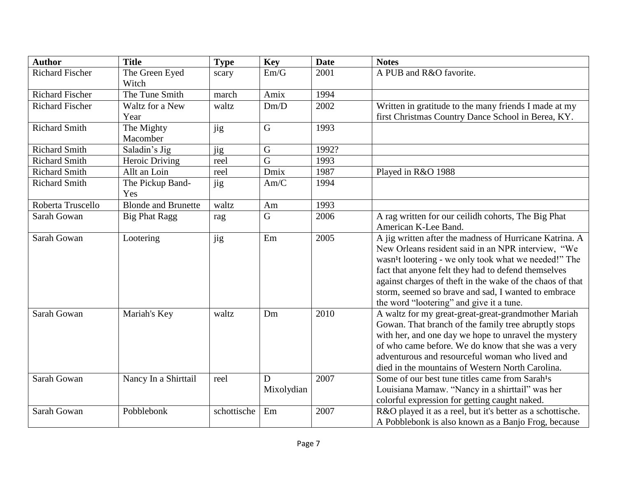| <b>Author</b>          | <b>Title</b>               | <b>Type</b> | <b>Key</b>  | <b>Date</b> | <b>Notes</b>                                                      |
|------------------------|----------------------------|-------------|-------------|-------------|-------------------------------------------------------------------|
| <b>Richard Fischer</b> | The Green Eyed             | scary       | Em/G        | 2001        | A PUB and R&O favorite.                                           |
|                        | Witch                      |             |             |             |                                                                   |
| <b>Richard Fischer</b> | The Tune Smith             | march       | Amix        | 1994        |                                                                   |
| <b>Richard Fischer</b> | Waltz for a New            | waltz       | Dm/D        | 2002        | Written in gratitude to the many friends I made at my             |
|                        | Year                       |             |             |             | first Christmas Country Dance School in Berea, KY.                |
| <b>Richard Smith</b>   | The Mighty                 | jig         | $\mathsf G$ | 1993        |                                                                   |
|                        | Macomber                   |             |             |             |                                                                   |
| <b>Richard Smith</b>   | Saladin's Jig              | jig         | $\mathbf G$ | 1992?       |                                                                   |
| <b>Richard Smith</b>   | Heroic Driving             | reel        | $\mathbf G$ | 1993        |                                                                   |
| <b>Richard Smith</b>   | Allt an Loin               | reel        | Dmix        | 1987        | Played in R&O 1988                                                |
| <b>Richard Smith</b>   | The Pickup Band-           | jig         | Am/C        | 1994        |                                                                   |
|                        | Yes                        |             |             |             |                                                                   |
| Roberta Truscello      | <b>Blonde and Brunette</b> | waltz       | Am          | 1993        |                                                                   |
| Sarah Gowan            | <b>Big Phat Ragg</b>       | rag         | G           | 2006        | A rag written for our ceilidh cohorts, The Big Phat               |
|                        |                            |             |             |             | American K-Lee Band.                                              |
| Sarah Gowan            | Lootering                  | jig         | Em          | 2005        | A jig written after the madness of Hurricane Katrina. A           |
|                        |                            |             |             |             | New Orleans resident said in an NPR interview, "We                |
|                        |                            |             |             |             | wasn <sup>1</sup> t lootering - we only took what we needed!" The |
|                        |                            |             |             |             | fact that anyone felt they had to defend themselves               |
|                        |                            |             |             |             | against charges of theft in the wake of the chaos of that         |
|                        |                            |             |             |             | storm, seemed so brave and sad, I wanted to embrace               |
|                        |                            |             |             |             | the word "lootering" and give it a tune.                          |
| Sarah Gowan            | Mariah's Key               | waltz       | Dm          | 2010        | A waltz for my great-great-great-grandmother Mariah               |
|                        |                            |             |             |             | Gowan. That branch of the family tree abruptly stops              |
|                        |                            |             |             |             | with her, and one day we hope to unravel the mystery              |
|                        |                            |             |             |             | of who came before. We do know that she was a very                |
|                        |                            |             |             |             | adventurous and resourceful woman who lived and                   |
|                        |                            |             |             |             | died in the mountains of Western North Carolina.                  |
| Sarah Gowan            | Nancy In a Shirttail       | reel        | D           | 2007        | Some of our best tune titles came from Sarah <sup>1</sup> s       |
|                        |                            |             | Mixolydian  |             | Louisiana Mamaw. "Nancy in a shirttail" was her                   |
|                        |                            |             |             |             | colorful expression for getting caught naked.                     |
| Sarah Gowan            | Pobblebonk                 | schottische | Em          | 2007        | R&O played it as a reel, but it's better as a schottische.        |
|                        |                            |             |             |             | A Pobblebonk is also known as a Banjo Frog, because               |